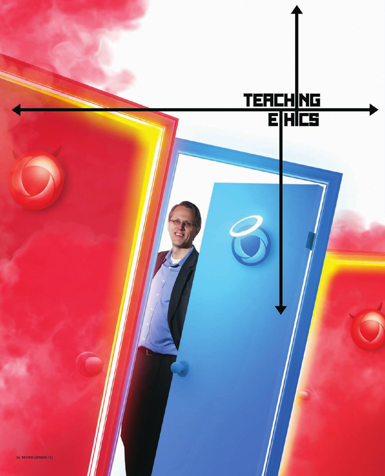